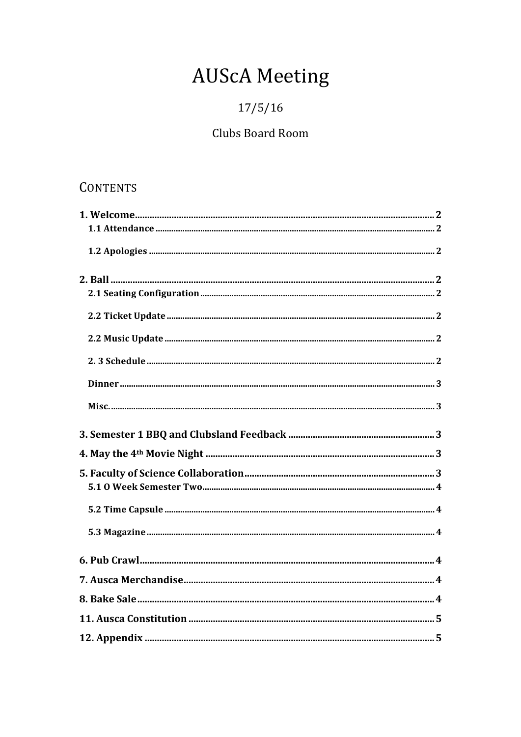# **AUScA Meeting**

## $17/5/16$

## Clubs Board Room

## **CONTENTS**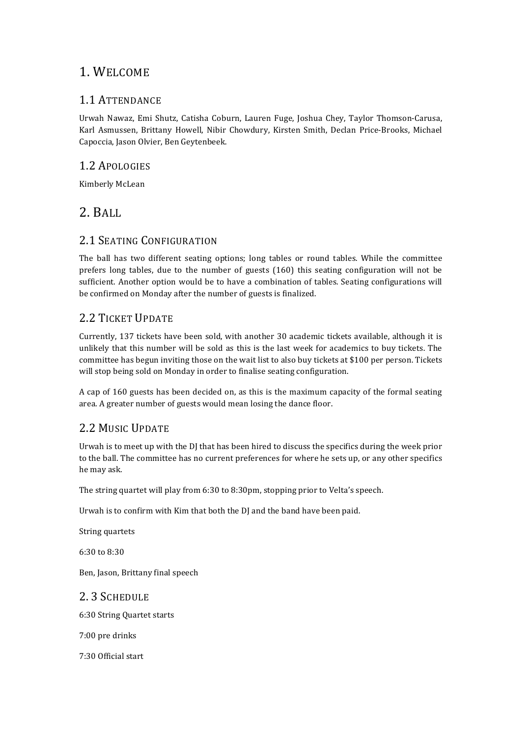## 1. WELCOME

#### 1.1 ATTENDANCE

Urwah Nawaz, Emi Shutz, Catisha Coburn, Lauren Fuge, Joshua Chey, Taylor Thomson-Carusa, Karl Asmussen, Brittany Howell, Nibir Chowdury, Kirsten Smith, Declan Price-Brooks, Michael Capoccia, Jason Olvier, Ben Geytenbeek.

#### 1.2 APOLOGIES

Kimberly McLean

## 2. BALL

## 2.1 SEATING CONFIGURATION

The ball has two different seating options; long tables or round tables. While the committee prefers long tables, due to the number of guests  $(160)$  this seating configuration will not be sufficient. Another option would be to have a combination of tables. Seating configurations will be confirmed on Monday after the number of guests is finalized.

## 2.2 TICKET UPDATE

Currently, 137 tickets have been sold, with another 30 academic tickets available, although it is unlikely that this number will be sold as this is the last week for academics to buy tickets. The committee has begun inviting those on the wait list to also buy tickets at \$100 per person. Tickets will stop being sold on Monday in order to finalise seating configuration.

A cap of 160 guests has been decided on, as this is the maximum capacity of the formal seating area. A greater number of guests would mean losing the dance floor.

## 2.2 MUSIC UPDATE

Urwah is to meet up with the DJ that has been hired to discuss the specifics during the week prior to the ball. The committee has no current preferences for where he sets up, or any other specifics he may ask.

The string quartet will play from  $6:30$  to  $8:30$ pm, stopping prior to Velta's speech.

Urwah is to confirm with Kim that both the DJ and the band have been paid.

String quartets

 $6:30 \text{ to } 8:30$ 

Ben, Jason, Brittany final speech

2. 3 SCHEDULE 6:30 String Quartet starts 7:00 pre drinks

7:30 Official start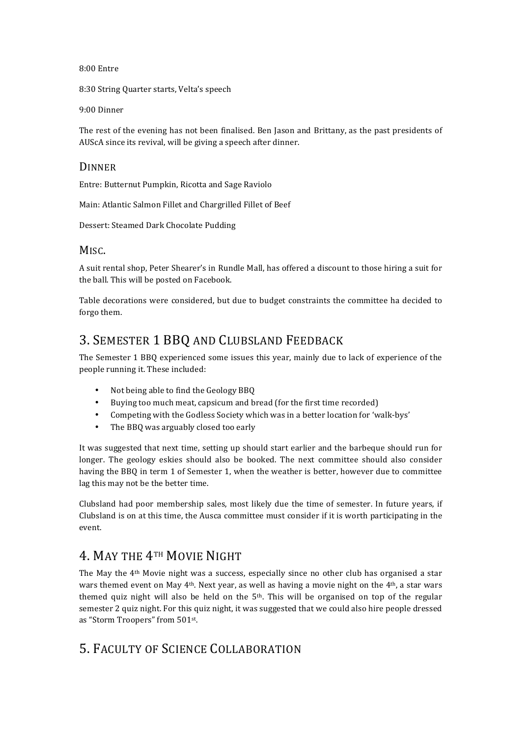8:00 Entre

8:30 String Quarter starts, Velta's speech

9:00 Dinner

The rest of the evening has not been finalised. Ben Jason and Brittany, as the past presidents of AUScA since its revival, will be giving a speech after dinner.

#### DINNER

Entre: Butternut Pumpkin, Ricotta and Sage Raviolo

Main: Atlantic Salmon Fillet and Chargrilled Fillet of Beef

Dessert: Steamed Dark Chocolate Pudding

#### M<sub>ISC</sub>.

A suit rental shop, Peter Shearer's in Rundle Mall, has offered a discount to those hiring a suit for the ball. This will be posted on Facebook.

Table decorations were considered, but due to budget constraints the committee ha decided to forgo them.

## 3. SEMESTER 1 BBO AND CLUBSLAND FEEDBACK

The Semester 1 BBQ experienced some issues this year, mainly due to lack of experience of the people running it. These included:

- Not being able to find the Geology BBO
- Buying too much meat, capsicum and bread (for the first time recorded)
- Competing with the Godless Society which was in a better location for 'walk-bys'
- The BBQ was arguably closed too early

It was suggested that next time, setting up should start earlier and the barbeque should run for longer. The geology eskies should also be booked. The next committee should also consider having the BBQ in term 1 of Semester 1, when the weather is better, however due to committee lag this may not be the better time.

Clubsland had poor membership sales, most likely due the time of semester. In future years, if Clubsland is on at this time, the Ausca committee must consider if it is worth participating in the event. 

## 4. MAY THE 4TH MOVIE NIGHT

The May the  $4<sup>th</sup>$  Movie night was a success, especially since no other club has organised a star wars themed event on May  $4<sup>th</sup>$ . Next year, as well as having a movie night on the  $4<sup>th</sup>$ , a star wars themed quiz night will also be held on the  $5<sup>th</sup>$ . This will be organised on top of the regular semester 2 quiz night. For this quiz night, it was suggested that we could also hire people dressed as "Storm Troopers" from 501st.

## 5. FACULTY OF SCIENCE COLLABORATION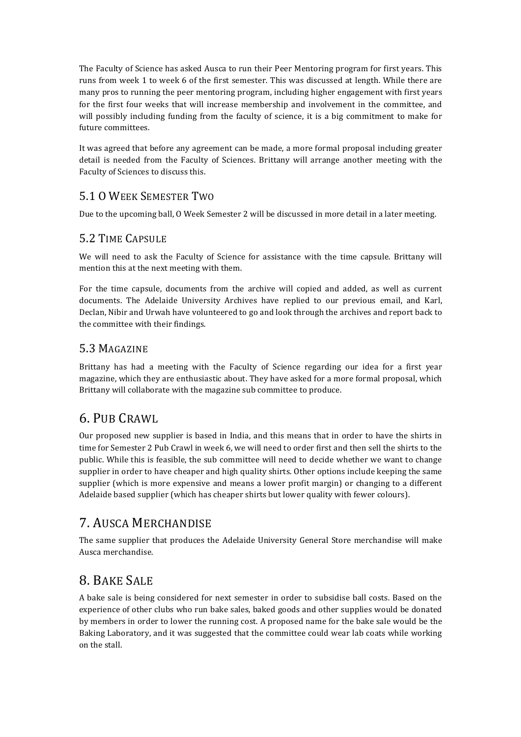The Faculty of Science has asked Ausca to run their Peer Mentoring program for first years. This runs from week 1 to week 6 of the first semester. This was discussed at length. While there are many pros to running the peer mentoring program, including higher engagement with first years for the first four weeks that will increase membership and involvement in the committee, and will possibly including funding from the faculty of science, it is a big commitment to make for future committees.

It was agreed that before any agreement can be made, a more formal proposal including greater detail is needed from the Faculty of Sciences. Brittany will arrange another meeting with the Faculty of Sciences to discuss this.

## 5.1 O WEEK SEMESTER TWO

Due to the upcoming ball, O Week Semester 2 will be discussed in more detail in a later meeting.

## 5.2 TIME CAPSULE

We will need to ask the Faculty of Science for assistance with the time capsule. Brittany will mention this at the next meeting with them.

For the time capsule, documents from the archive will copied and added, as well as current documents. The Adelaide University Archives have replied to our previous email, and Karl, Declan, Nibir and Urwah have volunteered to go and look through the archives and report back to the committee with their findings.

## 5.3 MAGAZINE

Brittany has had a meeting with the Faculty of Science regarding our idea for a first year magazine, which they are enthusiastic about. They have asked for a more formal proposal, which Brittany will collaborate with the magazine sub committee to produce.

## 6. PUB CRAWL

Our proposed new supplier is based in India, and this means that in order to have the shirts in time for Semester 2 Pub Crawl in week 6, we will need to order first and then sell the shirts to the public. While this is feasible, the sub committee will need to decide whether we want to change supplier in order to have cheaper and high quality shirts. Other options include keeping the same supplier (which is more expensive and means a lower profit margin) or changing to a different Adelaide based supplier (which has cheaper shirts but lower quality with fewer colours).

## 7. AUSCA MERCHANDISE

The same supplier that produces the Adelaide University General Store merchandise will make Ausca merchandise. 

## 8. BAKE SALE

A bake sale is being considered for next semester in order to subsidise ball costs. Based on the experience of other clubs who run bake sales, baked goods and other supplies would be donated by members in order to lower the running cost. A proposed name for the bake sale would be the Baking Laboratory, and it was suggested that the committee could wear lab coats while working on the stall.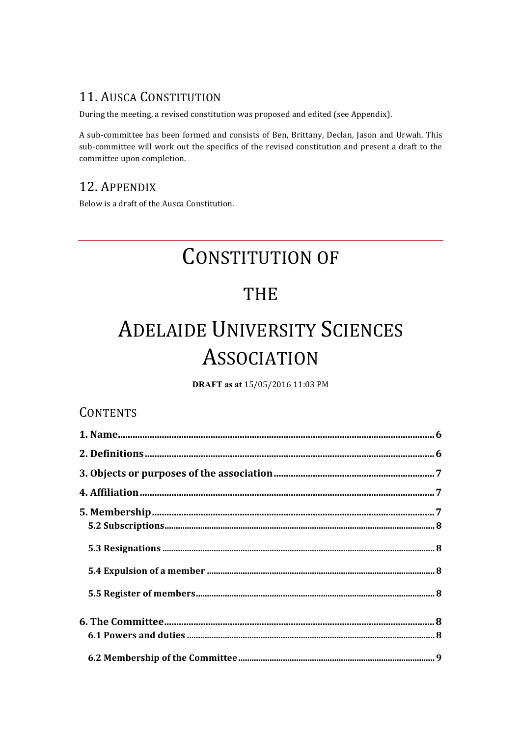## **11. AUSCA CONSTITUTION**

During the meeting, a revised constitution was proposed and edited (see Appendix).

A sub-committee has been formed and consists of Ben, Brittany, Declan, Jason and Urwah. This sub-committee will work out the specifics of the revised constitution and present a draft to the committee upon completion.

## 12. APPENDIX

Below is a draft of the Ausca Constitution.

## **CONSTITUTION OF**

## **THE**

# **ADELAIDE UNIVERSITY SCIENCES ASSOCIATION**

DRAFT as at 15/05/2016 11:03 PM

## **CONTENTS**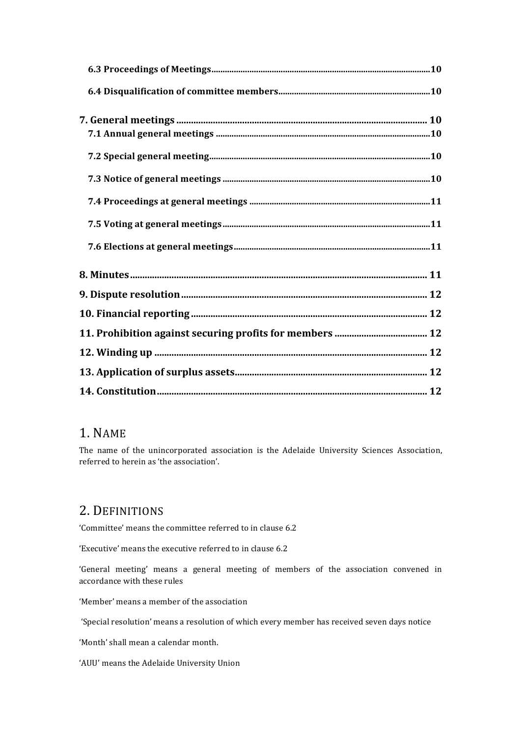## 1. NAME

The name of the unincorporated association is the Adelaide University Sciences Association, referred to herein as 'the association'.

## 2. DEFINITIONS

'Committee' means the committee referred to in clause 6.2

'Executive' means the executive referred to in clause 6.2

'General meeting' means a general meeting of members of the association convened in accordance with these rules

'Member' means a member of the association

'Special resolution' means a resolution of which every member has received seven days notice

'Month' shall mean a calendar month.

'AUU' means the Adelaide University Union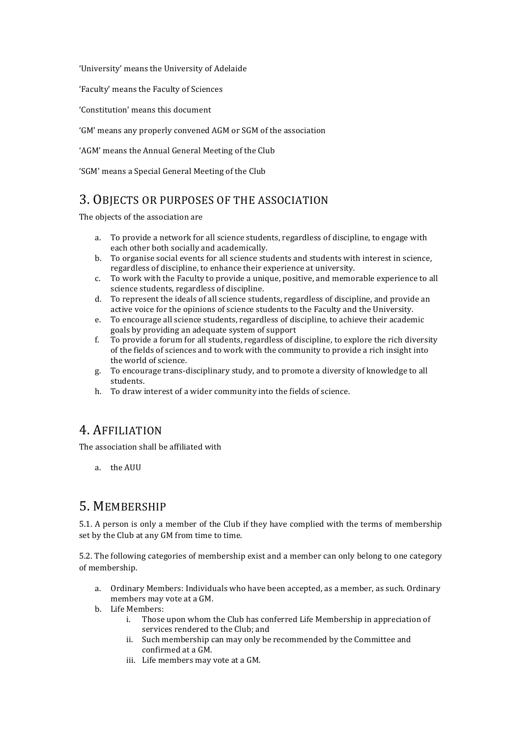'University' means the University of Adelaide

'Faculty' means the Faculty of Sciences

'Constitution' means this document

'GM' means any properly convened AGM or SGM of the association

'AGM' means the Annual General Meeting of the Club

'SGM' means a Special General Meeting of the Club

## 3. OBJECTS OR PURPOSES OF THE ASSOCIATION

The objects of the association are

- a. To provide a network for all science students, regardless of discipline, to engage with each other both socially and academically.
- b. To organise social events for all science students and students with interest in science, regardless of discipline, to enhance their experience at university.
- c. To work with the Faculty to provide a unique, positive, and memorable experience to all science students, regardless of discipline.
- d. To represent the ideals of all science students, regardless of discipline, and provide an active voice for the opinions of science students to the Faculty and the University.
- e. To encourage all science students, regardless of discipline, to achieve their academic goals by providing an adequate system of support
- f. To provide a forum for all students, regardless of discipline, to explore the rich diversity of the fields of sciences and to work with the community to provide a rich insight into the world of science.
- g. To encourage trans-disciplinary study, and to promote a diversity of knowledge to all students.
- h. To draw interest of a wider community into the fields of science.

## 4. AFFILIATION

The association shall be affiliated with

a the AUU

## 5. MEMBERSHIP

5.1. A person is only a member of the Club if they have complied with the terms of membership set by the Club at any GM from time to time.

5.2. The following categories of membership exist and a member can only belong to one category of membership.

- a. Ordinary Members: Individuals who have been accepted, as a member, as such. Ordinary members may vote at a GM.
- b. Life Members:
	- i. Those upon whom the Club has conferred Life Membership in appreciation of services rendered to the Club; and
	- ii. Such membership can may only be recommended by the Committee and confirmed at a GM.
	- iii. Life members may vote at a GM.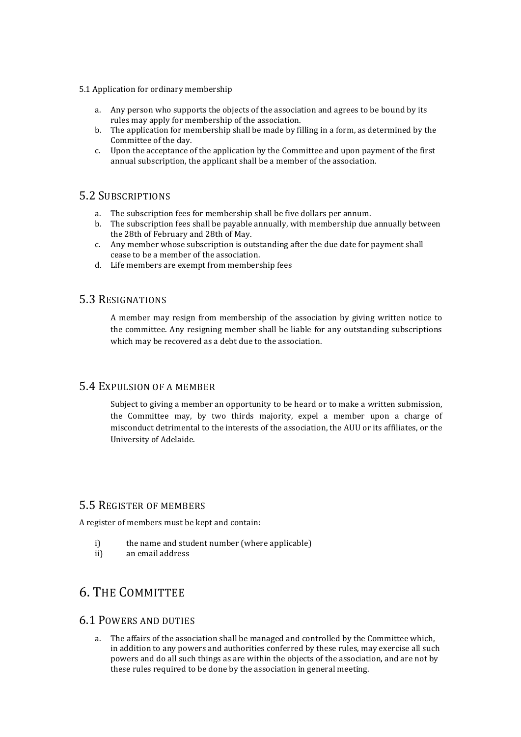- 5.1 Application for ordinary membership
	- a. Any person who supports the objects of the association and agrees to be bound by its rules may apply for membership of the association.
	- b. The application for membership shall be made by filling in a form, as determined by the Committee of the day.
	- c. Upon the acceptance of the application by the Committee and upon payment of the first annual subscription, the applicant shall be a member of the association.

#### 5.2 SUBSCRIPTIONS

- a. The subscription fees for membership shall be five dollars per annum.
- b. The subscription fees shall be payable annually, with membership due annually between the 28th of February and 28th of May.
- c. Any member whose subscription is outstanding after the due date for payment shall cease to be a member of the association.
- d. Life members are exempt from membership fees

#### 5.3 RESIGNATIONS

A member may resign from membership of the association by giving written notice to the committee. Any resigning member shall be liable for any outstanding subscriptions which may be recovered as a debt due to the association.

#### 5.4 EXPULSION OF A MEMBER

Subject to giving a member an opportunity to be heard or to make a written submission, the Committee may, by two thirds majority, expel a member upon a charge of misconduct detrimental to the interests of the association, the AUU or its affiliates, or the University of Adelaide.

#### 5.5 REGISTER OF MEMBERS

A register of members must be kept and contain:

- i) the name and student number (where applicable)
- ii) an email address

## **6. THE COMMITTEE**

#### **6.1 POWERS AND DUTIES**

a. The affairs of the association shall be managed and controlled by the Committee which, in addition to any powers and authorities conferred by these rules, may exercise all such powers and do all such things as are within the objects of the association, and are not by these rules required to be done by the association in general meeting.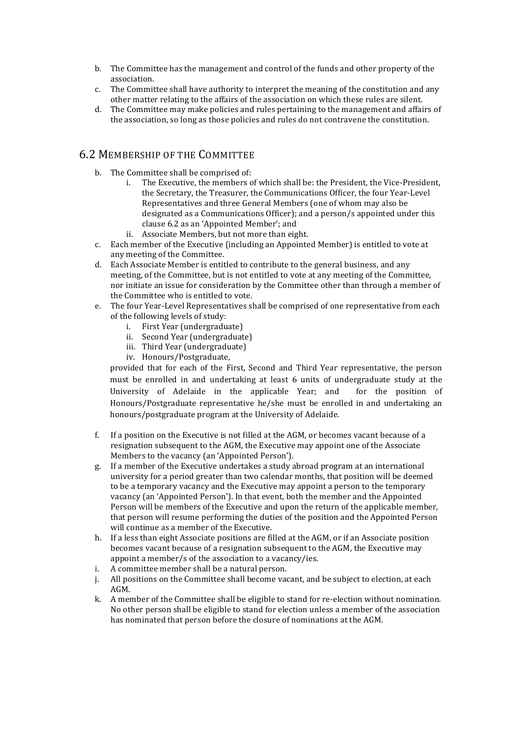- b. The Committee has the management and control of the funds and other property of the association.
- c. The Committee shall have authority to interpret the meaning of the constitution and any other matter relating to the affairs of the association on which these rules are silent.
- d. The Committee may make policies and rules pertaining to the management and affairs of the association, so long as those policies and rules do not contravene the constitution.

#### 6.2 MEMBERSHIP OF THE COMMITTEE

- b. The Committee shall be comprised of:
	- i. The Executive, the members of which shall be: the President, the Vice-President, the Secretary, the Treasurer, the Communications Officer, the four Year-Level Representatives and three General Members (one of whom may also be designated as a Communications Officer); and a person/s appointed under this clause 6.2 as an 'Appointed Member'; and
	- ii. Associate Members, but not more than eight.
- c. Each member of the Executive (including an Appointed Member) is entitled to vote at any meeting of the Committee.
- d. Each Associate Member is entitled to contribute to the general business, and any meeting, of the Committee, but is not entitled to vote at any meeting of the Committee. nor initiate an issue for consideration by the Committee other than through a member of the Committee who is entitled to vote.
- e. The four Year-Level Representatives shall be comprised of one representative from each of the following levels of study:
	- i. First Year (undergraduate)
	- ii. Second Year (undergraduate)
	- iii. Third Year (undergraduate)
	- iv. Honours/Postgraduate,

provided that for each of the First, Second and Third Year representative, the person must be enrolled in and undertaking at least 6 units of undergraduate study at the University of Adelaide in the applicable Year; and for the position of Honours/Postgraduate representative he/she must be enrolled in and undertaking an honours/postgraduate program at the University of Adelaide.

- f. If a position on the Executive is not filled at the AGM, or becomes vacant because of a resignation subsequent to the AGM, the Executive may appoint one of the Associate Members to the vacancy (an 'Appointed Person').
- g. If a member of the Executive undertakes a study abroad program at an international university for a period greater than two calendar months, that position will be deemed to be a temporary vacancy and the Executive may appoint a person to the temporary vacancy (an 'Appointed Person'). In that event, both the member and the Appointed Person will be members of the Executive and upon the return of the applicable member, that person will resume performing the duties of the position and the Appointed Person will continue as a member of the Executive.
- h. If a less than eight Associate positions are filled at the AGM, or if an Associate position becomes vacant because of a resignation subsequent to the AGM, the Executive may appoint a member/s of the association to a vacancy/ies.
- i. A committee member shall be a natural person.
- j. All positions on the Committee shall become vacant, and be subject to election, at each AGM.
- k. A member of the Committee shall be eligible to stand for re-election without nomination. No other person shall be eligible to stand for election unless a member of the association has nominated that person before the closure of nominations at the AGM.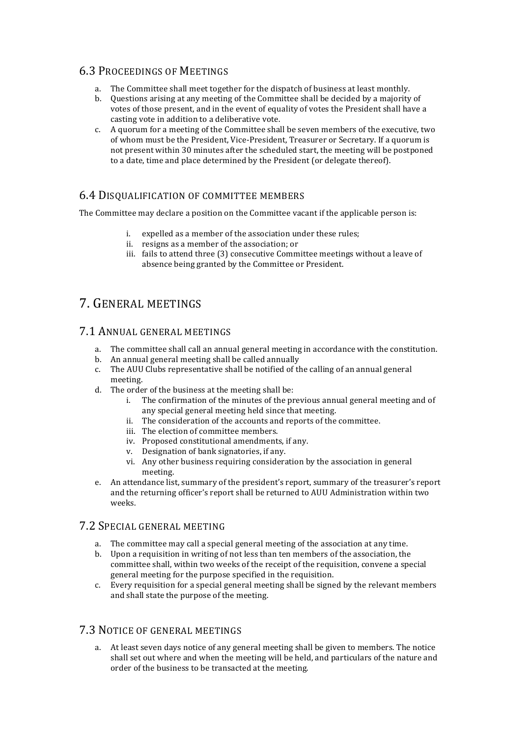#### **6.3 PROCEEDINGS OF MEETINGS**

- The Committee shall meet together for the dispatch of business at least monthly.
- b. Questions arising at any meeting of the Committee shall be decided by a majority of votes of those present, and in the event of equality of votes the President shall have a casting vote in addition to a deliberative vote.
- c. A quorum for a meeting of the Committee shall be seven members of the executive, two of whom must be the President, Vice-President, Treasurer or Secretary. If a quorum is not present within 30 minutes after the scheduled start, the meeting will be postponed to a date, time and place determined by the President (or delegate thereof).

#### 6.4 DISQUALIFICATION OF COMMITTEE MEMBERS

The Committee may declare a position on the Committee vacant if the applicable person is:

- i. expelled as a member of the association under these rules;
- ii. resigns as a member of the association; or
- iii. fails to attend three (3) consecutive Committee meetings without a leave of absence being granted by the Committee or President.

## 7. GENERAL MEETINGS

#### 7.1 ANNUAL GENERAL MEETINGS

- a. The committee shall call an annual general meeting in accordance with the constitution.
- b. An annual general meeting shall be called annually
- c. The AUU Clubs representative shall be notified of the calling of an annual general meeting.
- d. The order of the business at the meeting shall be:
	- i. The confirmation of the minutes of the previous annual general meeting and of any special general meeting held since that meeting.
	- ii. The consideration of the accounts and reports of the committee.
	- iii. The election of committee members.
	- iv. Proposed constitutional amendments, if any.
	- v. Designation of bank signatories, if any.
	- vi. Any other business requiring consideration by the association in general meeting.
- e. An attendance list, summary of the president's report, summary of the treasurer's report and the returning officer's report shall be returned to AUU Administration within two weeks.

#### 7.2 SPECIAL GENERAL MEETING

- a. The committee may call a special general meeting of the association at any time.
- b. Upon a requisition in writing of not less than ten members of the association, the committee shall, within two weeks of the receipt of the requisition, convene a special general meeting for the purpose specified in the requisition.
- c. Every requisition for a special general meeting shall be signed by the relevant members and shall state the purpose of the meeting.

#### 7.3 NOTICE OF GENERAL MEETINGS

a. At least seven days notice of any general meeting shall be given to members. The notice shall set out where and when the meeting will be held, and particulars of the nature and order of the business to be transacted at the meeting.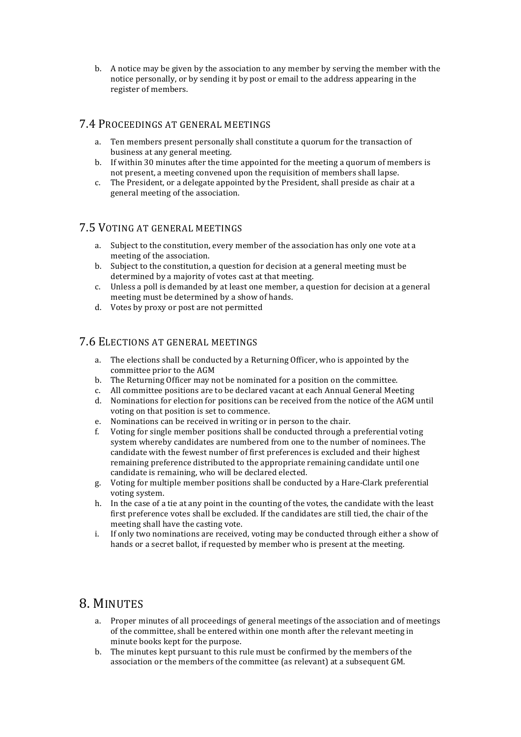b. A notice may be given by the association to any member by serving the member with the notice personally, or by sending it by post or email to the address appearing in the register of members.

#### 7.4 PROCEEDINGS AT GENERAL MEETINGS

- a. Ten members present personally shall constitute a quorum for the transaction of business at any general meeting.
- b. If within 30 minutes after the time appointed for the meeting a quorum of members is not present, a meeting convened upon the requisition of members shall lapse.
- c. The President, or a delegate appointed by the President, shall preside as chair at a general meeting of the association.

#### 7.5 VOTING AT GENERAL MEETINGS

- a. Subject to the constitution, every member of the association has only one vote at a meeting of the association.
- b. Subject to the constitution, a question for decision at a general meeting must be determined by a majority of votes cast at that meeting.
- c. Unless a poll is demanded by at least one member, a question for decision at a general meeting must be determined by a show of hands.
- d. Votes by proxy or post are not permitted

#### 7.6 ELECTIONS AT GENERAL MEETINGS

- a. The elections shall be conducted by a Returning Officer, who is appointed by the committee prior to the AGM
- b. The Returning Officer may not be nominated for a position on the committee.
- c. All committee positions are to be declared vacant at each Annual General Meeting
- d. Nominations for election for positions can be received from the notice of the AGM until voting on that position is set to commence.
- e. Nominations can be received in writing or in person to the chair.
- f. Voting for single member positions shall be conducted through a preferential voting system whereby candidates are numbered from one to the number of nominees. The candidate with the fewest number of first preferences is excluded and their highest remaining preference distributed to the appropriate remaining candidate until one candidate is remaining, who will be declared elected.
- g. Voting for multiple member positions shall be conducted by a Hare-Clark preferential voting system.
- h. In the case of a tie at any point in the counting of the votes, the candidate with the least first preference votes shall be excluded. If the candidates are still tied, the chair of the meeting shall have the casting vote.
- i. If only two nominations are received, voting may be conducted through either a show of hands or a secret ballot, if requested by member who is present at the meeting.

## 8. MINUTES

- a. Proper minutes of all proceedings of general meetings of the association and of meetings of the committee, shall be entered within one month after the relevant meeting in minute books kept for the purpose.
- b. The minutes kept pursuant to this rule must be confirmed by the members of the association or the members of the committee (as relevant) at a subsequent GM.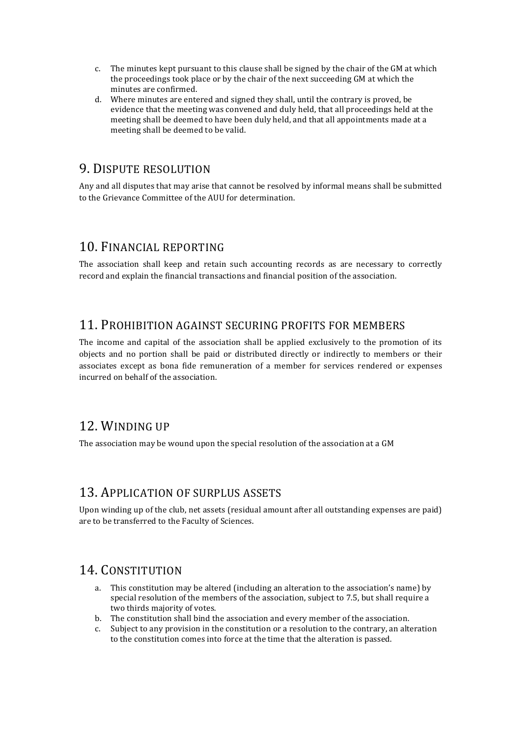- c. The minutes kept pursuant to this clause shall be signed by the chair of the GM at which the proceedings took place or by the chair of the next succeeding GM at which the minutes are confirmed.
- d. Where minutes are entered and signed they shall, until the contrary is proved, be evidence that the meeting was convened and duly held, that all proceedings held at the meeting shall be deemed to have been duly held, and that all appointments made at a meeting shall be deemed to be valid.

## 9. DISPUTE RESOLUTION

Any and all disputes that may arise that cannot be resolved by informal means shall be submitted to the Grievance Committee of the AUU for determination.

## 10. FINANCIAL REPORTING

The association shall keep and retain such accounting records as are necessary to correctly record and explain the financial transactions and financial position of the association.

## 11. PROHIBITION AGAINST SECURING PROFITS FOR MEMBERS

The income and capital of the association shall be applied exclusively to the promotion of its objects and no portion shall be paid or distributed directly or indirectly to members or their associates except as bona fide remuneration of a member for services rendered or expenses incurred on behalf of the association.

## 12. WINDING UP

The association may be wound upon the special resolution of the association at a  $GM$ 

## 13. APPLICATION OF SURPLUS ASSETS

Upon winding up of the club, net assets (residual amount after all outstanding expenses are paid) are to be transferred to the Faculty of Sciences.

## 14. CONSTITUTION

- a. This constitution may be altered (including an alteration to the association's name) by special resolution of the members of the association, subject to 7.5, but shall require a two thirds majority of votes.
- b. The constitution shall bind the association and every member of the association.
- c. Subject to any provision in the constitution or a resolution to the contrary, an alteration to the constitution comes into force at the time that the alteration is passed.